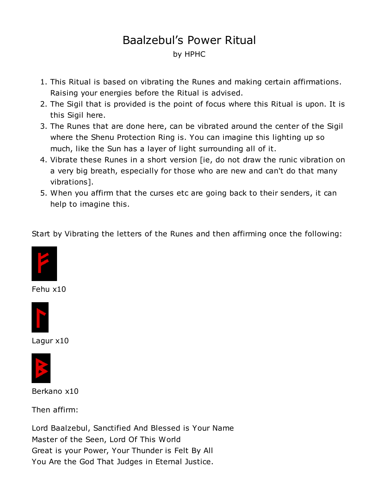# Baalzebul's Power Ritual by HPHC

- 1. This Ritual is based on vibrating the Runes and making certain affirmations. Raising your energies before the Ritual is advised.
- 2. The Sigil that is provided is the point of focus where this Ritual is upon. It is this Sigil here.
- 3. The Runes that are done here, can be vibrated around the center of the Sigil where the Shenu Protection Ring is. You can imagine this lighting up so much, like the Sun has a layer of light surrounding all of it.
- 4. Vibrate these Runes in a short version [ie, do not draw the runic vibration on a very big breath, especially for those who are new and can't do that many vibrations].
- 5. When you affirm that the curses etc are going back to their senders, it can help to imagine this.

Start by Vibrating the letters of the Runes and then affirming once the following:



Fehu x10



Lagur x10



Berkano x10

Then affirm:

Lord Baalzebul, Sanctified And Blessed is Your Name Master of the Seen, Lord Of This World Great is your Power, Your Thunder is Felt By All You Are the God That Judges in Eternal Justice.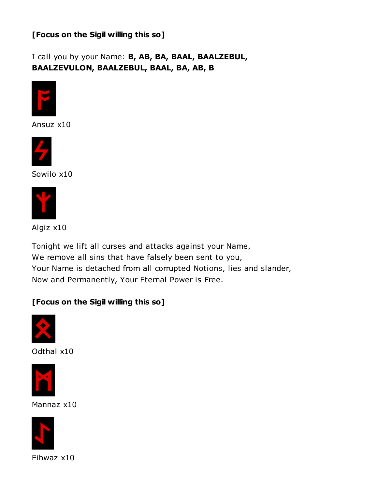#### [Focus on the Sigil willing this so]

I call you by your Name: B, AB, BA, BAAL, BAALZEBUL, BAALZEVULON, BAALZEBUL, BAAL, BA, AB, B



Ansuz x10



Sowilo x10



Algiz x10

Tonight we lift all curses and attacks against your Name, We remove all sins that have falsely been sent to you, Your Name is detached from all corrupted Notions, lies and slander, Now and Permanently, Your Eternal Power is Free.

#### [Focus on the Sigil willing this so]



Odthal x10



Mannaz x10

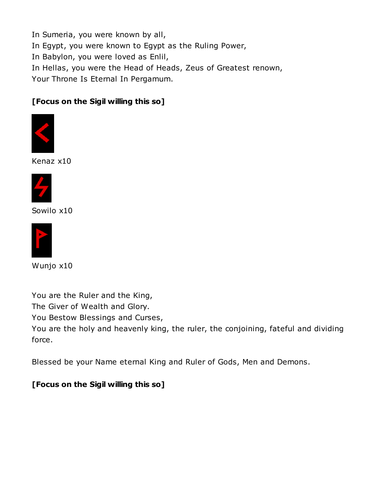In Sumeria, you were known by all,

In Egypt, you were known to Egypt as the Ruling Power,

In Babylon, you were loved as Enlil,

In Hellas, you were the Head of Heads, Zeus of Greatest renown,

Your Throne Is Eternal In Pergamum.

## [Focus on the Sigil willing this so]



Kenaz x10



Sowilo x10



Wunjo x10

You are the Ruler and the King,

The Giver of Wealth and Glory.

You Bestow Blessings and Curses,

You are the holy and heavenly king, the ruler, the conjoining, fateful and dividing force.

Blessed be your Name eternal King and Ruler of Gods, Men and Demons.

### [Focus on the Sigil willing this so]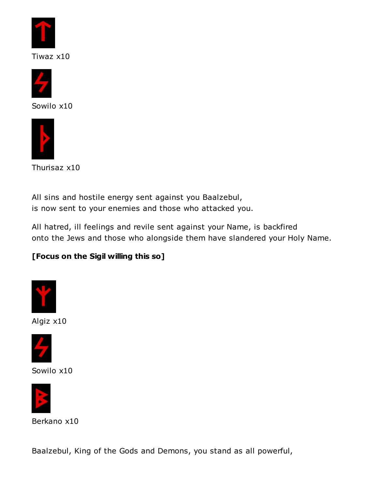

Tiwaz x10





Thurisaz x10

All sins and hostile energy sent against you Baalzebul, is now sent to your enemies and those who attacked you.

All hatred, ill feelings and revile sent against your Name, is backfired onto the Jews and those who alongside them have slandered your Holy Name.

## [Focus on the Sigil willing this so]



Algiz x10



Sowilo x10



Berkano x10

Baalzebul, King of the Gods and Demons, you stand as all powerful,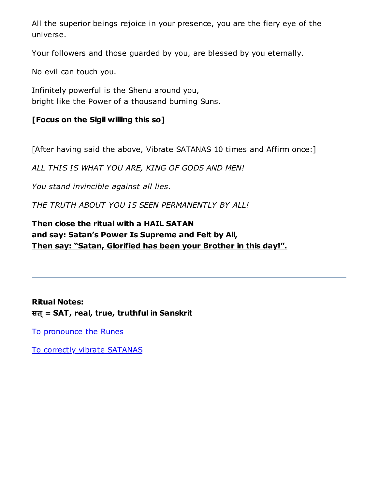All the superior beings rejoice in your presence, you are the fiery eye of the universe.

Your followers and those guarded by you, are blessed by you eternally.

No evil can touch you.

Infinitely powerful is the Shenu around you, bright like the Power of a thousand burning Suns.

## [Focus on the Sigil willing this so]

[After having said the above, Vibrate SATANAS 10 times and Affirm once:]

ALL THIS IS WHAT YOU ARE, KING OF GODS AND MEN!

You stand invincible against all lies.

THE TRUTH ABOUT YOU IS SEEN PERMANENTLY BY ALL!

## Then close the ritual with a HAIL SATAN and say: Satan's Power Is Supreme and Felt by All, Then say: "Satan, Glorified has been your Brother in this day!".

Ritual Notes: सत् = SAT, real, true, truthful in Sanskrit

To [pronounce](https://www.joyofsatan.org/www.angelfire.com/empire/serpentis666/Odin.html) the Runes

To correctly vibrate [SATANAS](https://satanslibrary.org/Rtrs/SATANAS.html)